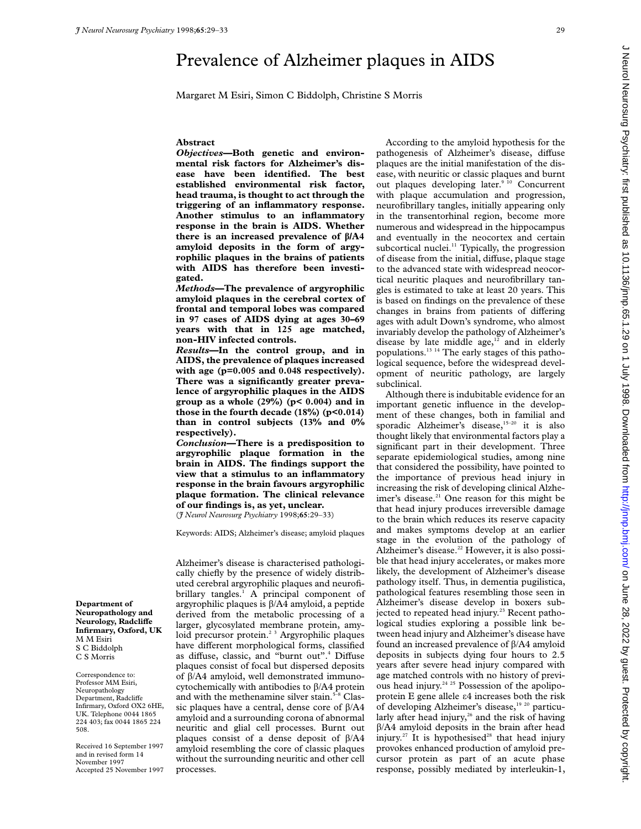# Prevalence of Alzheimer plaques in AIDS

Margaret M Esiri, Simon C Biddolph, Christine S Morris

#### **Abstract**

*Objectives***—Both genetic and environmental risk factors for Alzheimer's disease have been identified. The best established environmental risk factor, head trauma, is thought to act through the triggering of an inflammatory response. Another stimulus to an inflammatory response in the brain is AIDS. Whether there is an increased prevalence of â/A4 amyloid deposits in the form of argyrophilic plaques in the brains of patients with AIDS has therefore been investigated.**

*Methods***—The prevalence of argyrophilic amyloid plaques in the cerebral cortex of frontal and temporal lobes was compared in 97 cases of AIDS dying at ages 30–69 years with that in 125 age matched, non-HIV infected controls.**

*Results***—In the control group, and in AIDS, the prevalence of plaques increased with age (p=0.005 and 0.048 respectively). There was a significantly greater prevalence of argyrophilic plaques in the AIDS group as a whole (29%) (p< 0.004) and in those in the fourth decade (18%) (p<0.014) than in control subjects (13% and 0% respectively).**

*Conclusion***—There is a predisposition to argyrophilic plaque formation in the brain in AIDS. The findings support the view that a stimulus to an inflammatory response in the brain favours argyrophilic plaque formation. The clinical relevance of our findings is, as yet, unclear.**

(*J Neurol Neurosurg Psychiatry* 1998;**65**:29–33)

Keywords: AIDS; Alzheimer's disease; amyloid plaques

Alzheimer's disease is characterised pathologically chiefly by the presence of widely distributed cerebral argyrophilic plaques and neurofibrillary tangles.<sup>1</sup> A principal component of argyrophilic plaques is  $\beta$ /A4 amyloid, a peptide derived from the metabolic processing of a larger, glycosylated membrane protein, amyloid precursor protein.<sup>2 3</sup> Argyrophilic plaques have different morphological forms, classified as diffuse, classic, and "burnt out".<sup>4</sup> Diffuse plaques consist of focal but dispersed deposits of  $\beta$ /A4 amyloid, well demonstrated immunocytochemically with antibodies to  $\beta$ /A4 protein and with the methenamine silver stain.<sup>5-8</sup> Classic plaques have a central, dense core of  $\beta$ /A4 amyloid and a surrounding corona of abnormal neuritic and glial cell processes. Burnt out plaques consist of a dense deposit of  $\beta$ /A4 amyloid resembling the core of classic plaques without the surrounding neuritic and other cell processes.

According to the amyloid hypothesis for the pathogenesis of Alzheimer's disease, diffuse plaques are the initial manifestation of the disease, with neuritic or classic plaques and burnt out plaques developing later.9 10 Concurrent with plaque accumulation and progression, neurofibrillary tangles, initially appearing only in the transentorhinal region, become more numerous and widespread in the hippocampus and eventually in the neocortex and certain subcortical nuclei.<sup>11</sup> Typically, the progression of disease from the initial, diffuse, plaque stage to the advanced state with widespread neocortical neuritic plaques and neurofibrillary tangles is estimated to take at least 20 years. This is based on findings on the prevalence of these changes in brains from patients of differing ages with adult Down's syndrome, who almost invariably develop the pathology of Alzheimer's disease by late middle  $age, <sup>12</sup>$  and in elderly populations.13 14 The early stages of this pathological sequence, before the widespread development of neuritic pathology, are largely subclinical.

Although there is indubitable evidence for an important genetic influence in the development of these changes, both in familial and sporadic Alzheimer's disease,<sup>15-20</sup> it is also thought likely that environmental factors play a significant part in their development. Three separate epidemiological studies, among nine that considered the possibility, have pointed to the importance of previous head injury in increasing the risk of developing clinical Alzheimer's disease.<sup>21</sup> One reason for this might be that head injury produces irreversible damage to the brain which reduces its reserve capacity and makes symptoms develop at an earlier stage in the evolution of the pathology of Alzheimer's disease.<sup>22</sup> However, it is also possible that head injury accelerates, or makes more likely, the development of Alzheimer's disease pathology itself. Thus, in dementia pugilistica, pathological features resembling those seen in Alzheimer's disease develop in boxers subjected to repeated head injury.<sup>23</sup> Recent pathological studies exploring a possible link between head injury and Alzheimer's disease have found an increased prevalence of  $\beta$ /A4 amyloid deposits in subjects dying four hours to 2.5 years after severe head injury compared with age matched controls with no history of previous head injury.<sup>24 25</sup> Possession of the apolipoprotein  $E$  gene allele  $\varepsilon$ 4 increases both the risk of developing Alzheimer's disease,<sup>19 20</sup> particularly after head injury, $26$  and the risk of having  $\beta$ /A4 amyloid deposits in the brain after head injury.<sup>27</sup> It is hypothesised<sup>28</sup> that head injury provokes enhanced production of amyloid precursor protein as part of an acute phase response, possibly mediated by interleukin-1,

**Department of Neuropathology and**  $Neurology, Radcliffe$ **Infirmary, Oxford, UK** M M Esiri S C Biddolph C S Morris

Correspondence to: Professor MM Esiri, Neuropathology Department, Radcliffe Infirmary, Oxford OX2 6HE, UK. Telephone 0044 1865 224 403; fax 0044 1865 224 508.

Received 16 September 1997 and in revised form 14 November 1997 Accepted 25 November 1997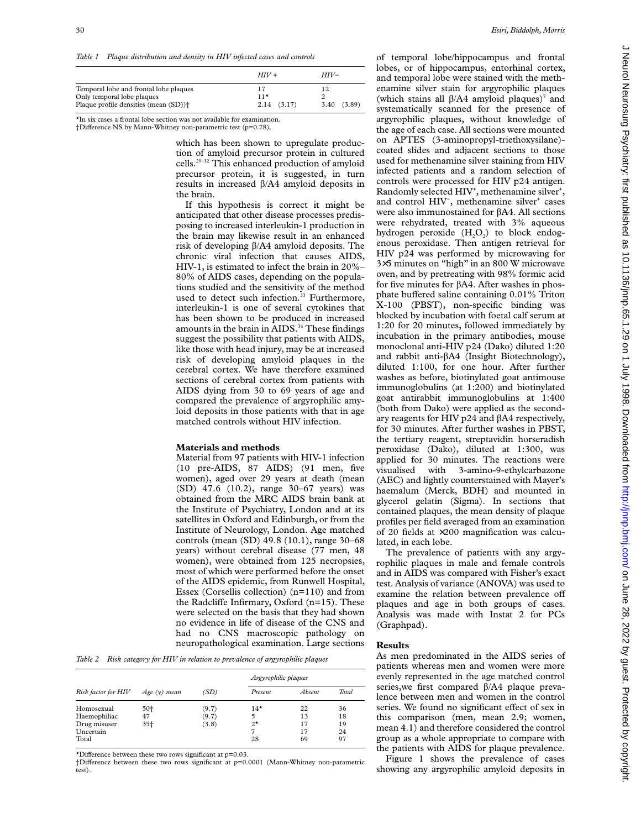*Table 1 Plaque distribution and density in HIV infected cases and controls*

|                                                                                                                           | $HIV +$                        | $HIV-$     |  |
|---------------------------------------------------------------------------------------------------------------------------|--------------------------------|------------|--|
| Temporal lobe and frontal lobe plaques<br>Only temporal lobe plaques<br>Plaque profile densities (mean (SD)) <sup>+</sup> | 17<br>$11*$<br>$2.14$ $(3.17)$ | 3.40(3.89) |  |

\*In six cases a frontal lobe section was not available for examination.

†Difference NS by Mann-Whitney non-parametric test (p=0.78).

which has been shown to upregulate production of amyloid precursor protein in cultured cells.29–32 This enhanced production of amyloid precursor protein, it is suggested, in turn results in increased  $\beta$ /A4 amyloid deposits in the brain.

If this hypothesis is correct it might be anticipated that other disease processes predisposing to increased interleukin-1 production in the brain may likewise result in an enhanced risk of developing â/A4 amyloid deposits. The chronic viral infection that causes AIDS, HIV-1, is estimated to infect the brain in 20%– 80% of AIDS cases, depending on the populations studied and the sensitivity of the method used to detect such infection.<sup>33</sup> Furthermore, interleukin-1 is one of several cytokines that has been shown to be produced in increased amounts in the brain in AIDS.<sup>34</sup> These findings suggest the possibility that patients with AIDS, like those with head injury, may be at increased risk of developing amyloid plaques in the cerebral cortex. We have therefore examined sections of cerebral cortex from patients with AIDS dying from 30 to 69 years of age and compared the prevalence of argyrophilic amyloid deposits in those patients with that in age matched controls without HIV infection.

## **Materials and methods**

Material from 97 patients with HIV-1 infection (10 pre-AIDS, 87 AIDS) (91 men, five women), aged over 29 years at death (mean (SD) 47.6 (10.2), range 30–67 years) was obtained from the MRC AIDS brain bank at the Institute of Psychiatry, London and at its satellites in Oxford and Edinburgh, or from the Institute of Neurology, London. Age matched controls (mean (SD) 49.8 (10.1), range 30–68 years) without cerebral disease (77 men, 48 women), were obtained from 125 necropsies, most of which were performed before the onset of the AIDS epidemic, from Runwell Hospital, Essex (Corsellis collection) (n=110) and from the Radcliffe Infirmary, Oxford  $(n=15)$ . These were selected on the basis that they had shown no evidence in life of disease of the CNS and had no CNS macroscopic pathology on neuropathological examination. Large sections

*Table 2 Risk category for HIV in relation to prevalence of argyrophilic plaques*

| Risk factor for HIV | Age $(v)$ mean | (SD)  | Argyrophilic plaques |        |       |
|---------------------|----------------|-------|----------------------|--------|-------|
|                     |                |       | Present              | Absent | Total |
| Homosexual          | 50+            | (9.7) | $14*$                | 22     | 36    |
| Haemophiliac        | 47             | (9.7) | 5                    | 13     | 18    |
| Drug misuser        | 35+            | (3.8) | $2^{\star}$          | 17     | 19    |
| Uncertain           |                |       | 7                    | 17     | 24    |
| Total               |                |       | 28                   | 69     | 97    |

\*Difference between these two rows significant at  $p=0.03$ .

†DiVerence between these two rows significant at p=0.0001 (Mann-Whitney non-parametric test).

of temporal lobe/hippocampus and frontal lobes, or of hippocampus, entorhinal cortex, and temporal lobe were stained with the methenamine silver stain for argyrophilic plaques (which stains all  $\beta$ /A4 amyloid plaques)<sup>7</sup> and systematically scanned for the presence of argyrophilic plaques, without knowledge of the age of each case. All sections were mounted on APTES (3-aminopropyl-triethoxysilane) coated slides and adjacent sections to those used for methenamine silver staining from HIV infected patients and a random selection of controls were processed for HIV p24 antigen. Randomly selected HIV<sup>+</sup>, methenamine silver<sup>+</sup>, and control HIV<sup>-</sup>, methenamine silver<sup>+</sup> cases were also immunostained for  $\beta$ A4. All sections were rehydrated, treated with 3% aqueous hydrogen peroxide  $(H_2O_2)$  to block endogenous peroxidase. Then antigen retrieval for HIV p24 was performed by microwaving for 3×5 minutes on "high" in an 800 W microwave oven, and by pretreating with 98% formic acid for five minutes for âA4. After washes in phosphate buffered saline containing  $0.01\%$  Triton X-100 (PBST), non-specific binding was blocked by incubation with foetal calf serum at 1:20 for 20 minutes, followed immediately by incubation in the primary antibodies, mouse monoclonal anti-HIV p24 (Dako) diluted 1:20 and rabbit anti-âA4 (Insight Biotechnology), diluted 1:100, for one hour. After further washes as before, biotinylated goat antimouse immunoglobulins (at 1:200) and biotinylated goat antirabbit immunoglobulins at 1:400 (both from Dako) were applied as the secondary reagents for HIV p24 and  $\beta$ A4 respectively, for 30 minutes. After further washes in PBST, the tertiary reagent, streptavidin horseradish peroxidase (Dako), diluted at 1:300, was applied for 30 minutes. The reactions were visualised with 3-amino-9-ethylcarbazone (AEC) and lightly counterstained with Mayer's haemalum (Merck, BDH) and mounted in glycerol gelatin (Sigma). In sections that contained plaques, the mean density of plaque profiles per field averaged from an examination of 20 fields at ×200 magnification was calculated, in each lobe.

The prevalence of patients with any argyrophilic plaques in male and female controls and in AIDS was compared with Fisher's exact test. Analysis of variance (ANOVA) was used to examine the relation between prevalence off plaques and age in both groups of cases. Analysis was made with Instat 2 for PCs (Graphpad).

#### **Results**

As men predominated in the AIDS series of patients whereas men and women were more evenly represented in the age matched control series, we first compared  $\beta$ /A4 plaque prevalence between men and women in the control series. We found no significant effect of sex in this comparison (men, mean 2.9; women, mean 4.1) and therefore considered the control group as a whole appropriate to compare with the patients with AIDS for plaque prevalence.

Figure 1 shows the prevalence of cases showing any argyrophilic amyloid deposits in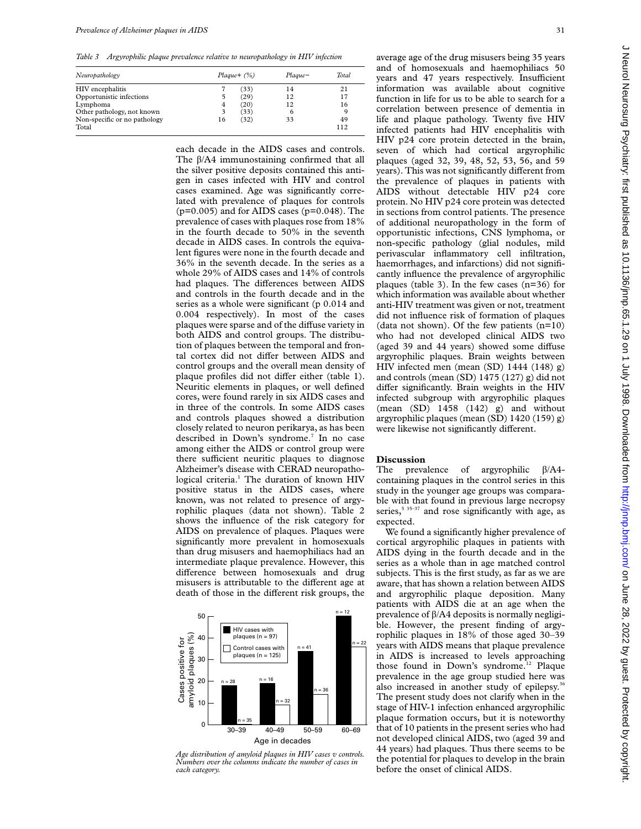*Table 3 Argyrophilic plaque prevalence relative to neuropathology in HIV infection*

| Neuropathology                        |    | $Plaque + (%)$ | Plague-<br>14 | Total<br>21 |
|---------------------------------------|----|----------------|---------------|-------------|
| HIV encephalitis                      |    | (33)           |               |             |
| Opportunistic infections              |    | (29)           | 12            | 17          |
| Lymphoma                              | 4  | (20)           | 12            | 16          |
| Other pathology, not known            | 3  | (33)           | 6             | 9           |
| Non-specific or no pathology<br>Total | 16 | (32)           | 33            | 49<br>112   |

each decade in the AIDS cases and controls. The  $\beta$ /A4 immunostaining confirmed that all the silver positive deposits contained this antigen in cases infected with HIV and control cases examined. Age was significantly correlated with prevalence of plaques for controls  $(p=0.005)$  and for AIDS cases  $(p=0.048)$ . The prevalence of cases with plaques rose from 18% in the fourth decade to 50% in the seventh decade in AIDS cases. In controls the equivalent figures were none in the fourth decade and 36% in the seventh decade. In the series as a whole 29% of AIDS cases and 14% of controls had plaques. The differences between AIDS and controls in the fourth decade and in the series as a whole were significant (p 0.014 and 0.004 respectively). In most of the cases plaques were sparse and of the diffuse variety in both AIDS and control groups. The distribution of plaques between the temporal and frontal cortex did not differ between AIDS and control groups and the overall mean density of plaque profiles did not differ either (table 1). Neuritic elements in plaques, or well defined cores, were found rarely in six AIDS cases and in three of the controls. In some AIDS cases and controls plaques showed a distribution closely related to neuron perikarya, as has been described in Down's syndrome.<sup>7</sup> In no case among either the AIDS or control group were there sufficient neuritic plaques to diagnose Alzheimer's disease with CERAD neuropathological criteria.<sup>1</sup> The duration of known HIV positive status in the AIDS cases, where known, was not related to presence of argyrophilic plaques (data not shown). Table 2 shows the influence of the risk category for AIDS on prevalence of plaques. Plaques were significantly more prevalent in homosexuals than drug misusers and haemophiliacs had an intermediate plaque prevalence. However, this difference between homosexuals and drug misusers is attributable to the different age at death of those in the different risk groups, the



*Age distribution of amyloid plaques in HIV cases v controls. Numbers over the columns indicate the number of cases in each category.*

average age of the drug misusers being 35 years and of homosexuals and haemophiliacs 50 years and 47 years respectively. Insufficient information was available about cognitive function in life for us to be able to search for a correlation between presence of dementia in life and plaque pathology. Twenty five HIV infected patients had HIV encephalitis with HIV p24 core protein detected in the brain, seven of which had cortical argyrophilic plaques (aged 32, 39, 48, 52, 53, 56, and 59 years). This was not significantly different from the prevalence of plaques in patients with AIDS without detectable HIV p24 core protein. No HIV p24 core protein was detected in sections from control patients. The presence of additional neuropathology in the form of opportunistic infections, CNS lymphoma, or non-specific pathology (glial nodules, mild perivascular inflammatory cell infiltration, haemorrhages, and infarctions) did not significantly influence the prevalence of argyrophilic plaques (table 3). In the few cases (n=36) for which information was available about whether anti-HIV treatment was given or not, treatment did not influence risk of formation of plaques (data not shown). Of the few patients  $(n=10)$ who had not developed clinical AIDS two (aged 39 and 44 years) showed some diffuse argyrophilic plaques. Brain weights between HIV infected men (mean (SD) 1444 (148) g) and controls (mean (SD) 1475 (127) g) did not differ significantly. Brain weights in the HIV infected subgroup with argyrophilic plaques (mean (SD) 1458 (142) g) and without argyrophilic plaques (mean (SD) 1420 (159) g) were likewise not significantly different.

## **Discussion**

The prevalence of argyrophilic  $\beta$ /A4containing plaques in the control series in this study in the younger age groups was comparable with that found in previous large necropsy series,<sup>5 35–37</sup> and rose significantly with age, as expected.

We found a significantly higher prevalence of cortical argyrophilic plaques in patients with AIDS dying in the fourth decade and in the series as a whole than in age matched control subjects. This is the first study, as far as we are aware, that has shown a relation between AIDS and argyrophilic plaque deposition. Many patients with AIDS die at an age when the prevalence of  $\beta$ /A4 deposits is normally negligible. However, the present finding of argyrophilic plaques in 18% of those aged 30–39 years with AIDS means that plaque prevalence in AIDS is increased to levels approaching those found in Down's syndrome.<sup>12</sup> Plaque prevalence in the age group studied here was also increased in another study of epilepsy.<sup>36</sup> The present study does not clarify when in the stage of HIV-1 infection enhanced argyrophilic plaque formation occurs, but it is noteworthy that of 10 patients in the present series who had not developed clinical AIDS, two (aged 39 and 44 years) had plaques. Thus there seems to be the potential for plaques to develop in the brain before the onset of clinical AIDS.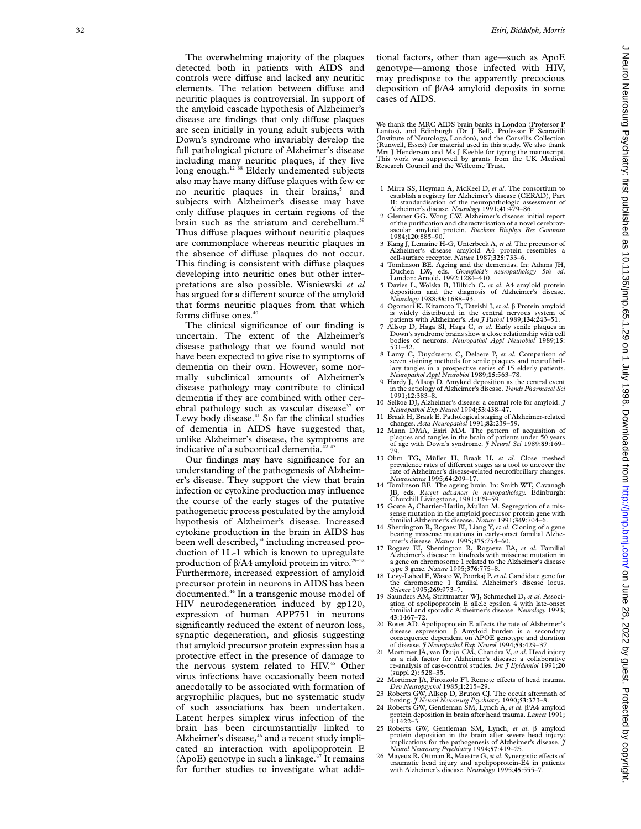The overwhelming majority of the plaques detected both in patients with AIDS and controls were diffuse and lacked any neuritic elements. The relation between diffuse and neuritic plaques is controversial. In support of the amyloid cascade hypothesis of Alzheimer's disease are findings that only diffuse plaques are seen initially in young adult subjects with Down's syndrome who invariably develop the full pathological picture of Alzheimer's disease including many neuritic plaques, if they live long enough.<sup>12 38</sup> Elderly undemented subjects also may have many di Vuse plaques with few or no neuritic plaques in their brains, <sup>5</sup> and subjects with Alzheimer's disease may have only diffuse plaques in certain regions of the brain such as the striatum and cerebellum.<sup>39</sup> Thus diffuse plaques without neuritic plaques are commonplace whereas neuritic plaques in the absence of diffuse plaques do not occur. This finding is consistent with diffuse plaques developing into neuritic ones but other interpretations are also possible. Wisniewski *et al* .<br>has argued for a different source of the amyloid that forms neuritic plaques from that which forms diffuse ones.<sup>40</sup>

The clinical significance of our finding is uncertain. The extent of the Alzheimer's disease pathology that we found would not have been expected to give rise to symptoms of dementia on their own. However, some normally subclinical amounts of Alzheimer's disease pathology may contribute to clinical dementia if they are combined with other cerebral pathology such as vascular disease<sup>37</sup> or Lewy body disease.<sup>41</sup> So far the clinical studies of dementia in AIDS have suggested that, unlike Alzheimer's disease, the symptoms are indicative of a subcortical dementia.<sup>42 43</sup>

Our findings may have significance for an understanding of the pathogenesis of Alzheimer's disease. They support the view that brain infection or cytokine production may influence the course of the early stages of the putative pathogenetic process postulated by the amyloid hypothesis of Alzheimer's disease. Increased cytokine production in the brain in AIDS has been well described,<sup>34</sup> including increased production of 1L-1 which is known to upregulate production of  $\beta$ /A4 amyloid protein in vitro.<sup>29–32</sup> Furthermore, increased expression of amyloid precursor protein in neurons in AIDS has been documented.44 In a transgenic mouse model of HIV neurodegeneration induced by gp120, expression of human APP751 in neurons significantly reduced the extent of neuron loss, synaptic degeneration, and gliosis suggesting that amyloid precursor protein expression has a protective effect in the presence of damage to the nervous system related to HIV.<sup>45</sup> Other virus infections have occasionally been noted anecdotally to be associated with formation of argyrophilic plaques, but no systematic study of such associations has been undertaken. Latent herpes simplex virus infection of the brain has been circumstantially linked to Alzheimer's disease,<sup>46</sup> and a recent study implicated an interaction with apolipoprotein E (ApoE) genotype in such a linkage. $47$  It remains for further studies to investigate what addi-

tional factors, other than age—such as ApoE genotype—among those infected with HIV, may predispose to the apparently precocious deposition of â/A4 amyloid deposits in some cases of AIDS.

We thank the MRC AIDS brain banks in London (Professor P Lantos), and Edinburgh (Dr J Bell), Professor F Scaravilli (Institute of Neurology, London), and the Corsellis Collection (Runwell, Essex) for material used in this study. We also thank Mrs J Henderson and Ms J Keeble for typing the manuscript. This work was supported by grants from the UK Medical Research Council and the Wellcome Trust.

- 1 Mirra SS, Heyman A, McKeel D, *et al*. The consortium to establish a registry for Alzheimer's disease (CERAD), Part II: standardisation of the neuropathologic assessment of
- Alzheimer's disease. *Neurology* 1991;**41**:479–86. 2 Glenner GG, Wong CW. Alzheimer's disease: initial report of the purification and characterisation of a novel cerebrovascular amyloid protein. *Biochem Biophys Res Commun* 1984;**120**:885–90.
- 3 Kang J, Lemaine H-G, Unterbeck A, *et al*. The precursor of Alzheimer's disease amyloid A4 protein resembles a cell-surface receptor. *Nature* 1987;**325**:733–6.
- 4 Tomlinson BE. Ageing and the dementias. In: Adams JH, Duchen LW, eds. *Greenfield's neuropathology 5th ed* . London: Arnold, 1992:1284–410. 5 Davies L, Wolska B, Hilbich C, *et al*. A4 amyloid protein
- deposition and the diagnosis of Alzheimer's disease. *Neurology* 1988;**38**:1688–93.
- 6 Ogomori K, Kitamoto T, Tateishi J, *et al* . â Protein amyloid is widely distributed in the central nervous system of patients with Alzheimer's. *Am J Pathol* 1989;**134**:243–51.
- 7 Allsop D, Haga SI, Haga C, *et al*. Early senile plaques in Down's syndrome brains show a close relationship with cell bodies of neurons. *Neuropathol Appl Neurobiol* 1989;**15** : 531–42.
- 8 Lamy C, Duyckaerts C, Delaere P, *et al*. Comparison of seven staining methods for senile plaques and neurofibril-lary tangles in a prospective series of 15 elderly patients. *Neuropathol Appl Neurobiol* 1989;**15**:563–78.
- 9 Hardy J, Allsop D. Amyloid deposition as the central event in the aetiology of Alzheimer's disease. *Trends Pharmacol Sci* 1991;**12**:383–8.
- 10 Selkoe DJ, Alzheimer's disease: a central role for amyloid. *J Neuropathol Exp Neurol* 1994;**53**:438–47.
- 11 Braak H, Braak E. Pathological staging of Alzheimer-related changes. *Acta Neuropathol* 1991;**82**:239–59.
- 12 Mann DMA, Esiri MM. The pattern of acquisition of plaques and tangles in the brain of patients under 50 years of age with Down's syndrome. *J Neurol Sci* 1989;**89**:169– 79.
- 13 Ohm TG, Müller H, Braak H, *et al*. Close meshed prevalence rates of different stages as a tool to uncover the rate of Alzheimer's disease-related neurofibrillary changes. *Neuroscience* 1995;**64**:209–17.
- 14 Tomlinson BE. The ageing brain. In: Smith WT, Cavanagh JB, eds. *Recent advances in neuropathology.* Edinburgh: Churchill Livingstone, 1981:129–59.
- 15 Goate A, Chartier-Harlin, Mullan M. Segregation of a missense mutation in the amyloid precursor protein gene with familial Alzheimer's disease. *Nature* 1991;**349**:704–6.
- 16 Sherrington R, Rogaev EI, Liang Y, *et al*. Cloning of a gene bearing missense mutations in early-onset familial Alzheimer's disease. *Nature* 1995;**375**:754–60.
- 17 Rogaev EI, Sherrington R, Rogaeva EA, *et al*. Familial Alzheimer's disease in kindreds with missense mutation in a gene on chromosome 1 related to the Alzheimer's disease type 3 gene. *Nature* 1995;**376**:775–8.
- 18 Levy-Lahed E, Wasco W, Poorkaj P,*et al*. Candidate gene for the chromosome 1 familial Alzheimer's disease locus. *Science* 1995;**269**:973–7.
- 19 Saunders AM, Strittmatter WJ, Schmechel D, *et al*. Associ-ation of apolipoprotein E allele epsilon 4 with late-onset familial and sporadic Alzheimer's disease. *Neurology* 1993; **<sup>43</sup>**:1467–72.
- 20 Roses AD. Apolipoprotein E affects the rate of Alzheimer's disease expression. â Amyloid burden is a secondary consequence dependent on APOE genotype and duration
- of disease. *J Neuropathol Exp Neurol* 1994;**53**:429–37. 21 Mortimer JA, van Duijn CM, Chandra V, *et al*. Head injury as a risk factor for Alzheimer's disease: a collaborative re-analysis of case-control studies. *Int J Epidemiol* 1991;**20** (suppl 2): 528–35.
- 22 Mortimer JA, Pirozzolo FJ. Remote e Vects of head trauma *.*
- *Dev Neuropsychol* 1985;1:215–29.<br>23 Roberts GW, Allsop D, Bruton CJ. The occult aftermath of<br>boxing. 3 Neurol Neurosurg Psychiatry 1990;53:373–8.<br>24 Roberts GW, Gentleman SM, Lynch A, et al.  $\beta$ /A4 amyloid
- protein deposition in brain after head trauma. *Lancet* 1991; ii:1422–3.
- 25 Roberts GW, Gentleman SM, Lynch, *et al* . â amyloid protein deposition in the brain after severe head injury: implications for the pathogenesis of Alzheimer's disease. *J Neurol Neurosurg Psychiatry* 1994;**57**:419–25.
- 26 Mayeux R, Ottman R, Maestre G, et al. Synergistic effects of traumatic head injury and apolipoprotein-E4 in patients with Alzheimer's disease. *Neurology* 1995;**45**:555–7.